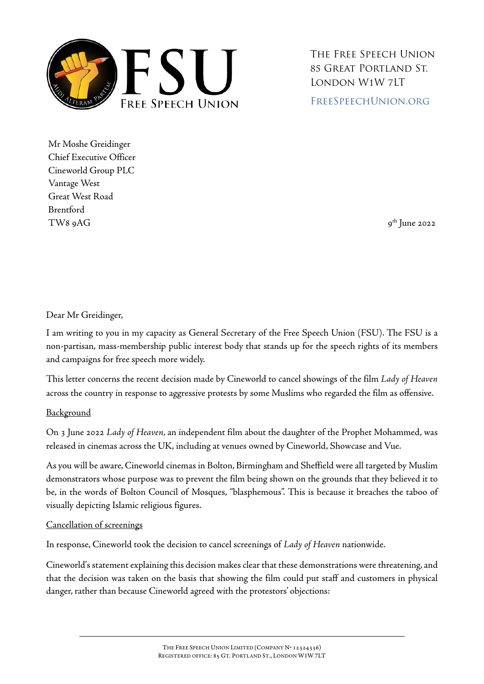

The Free Speech Union 85 Great Portland St. London W1W 7LT [FreeSpeechUnion.org](https://freespeechunion.org/)

Mr Moshe Greidinger Chief Executive Officer Cineworld Group PLC Vantage West Great West Road Brentford  $TWS \beta AG$  9AG 9AG 9AG 95  $\beta$  1 and 2022

## Dear Mr Greidinger,

I am writing to you in my capacity as General Secretary of the Free Speech Union (FSU). The FSU is a non-partisan, mass-membership public interest body that stands up for the speech rights of its members and campaigns for free speech more widely.

This letter concerns the recent decision made by Cineworld to cancel showings of the film *Lady of Heaven* across the country in response to aggressive protests by some Muslims who regarded the film as offensive.

## **Background**

On 3 June 2022 *Lady of Heaven*, an independent film about the daughter of the Prophet Mohammed, was released in cinemas across the UK, including at venues owned by Cineworld, Showcase and Vue.

As you will be aware, Cineworld cinemas in Bolton, Birmingham and Sheffield were all targeted by Muslim demonstrators whose purpose was to prevent the film being shown on the grounds that they believed it to be, in the words of Bolton Council of Mosques, "blasphemous". This is because it breaches the taboo of visually depicting Islamic religious figures.

## Cancellation of screenings

In response, Cineworld took the decision to cancel screenings of *Lady of Heaven* nationwide.

Cineworld's statement explaining this decision makes clear that these demonstrations were threatening, and that the decision was taken on the basis that showing the film could put staff and customers in physical danger, rather than because Cineworld agreed with the protestors' objections: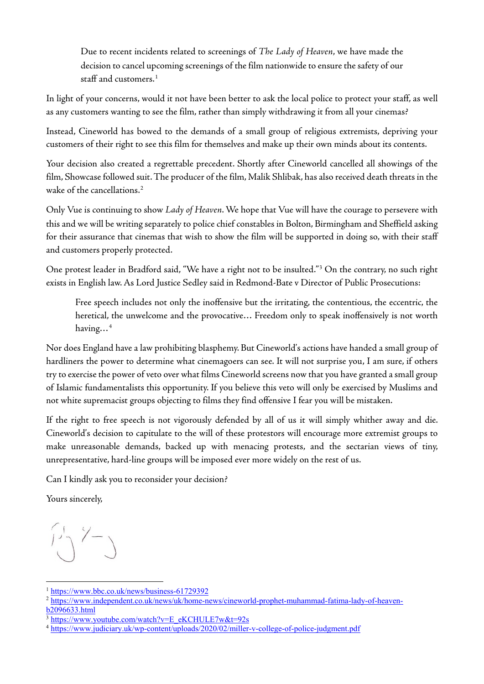Due to recent incidents related to screenings of *The Lady of Heaven*, we have made the decision to cancel upcoming screenings of the film nationwide to ensure the safety of our staff and customers. $1$ 

In light of your concerns, would it not have been better to ask the local police to protect your staff, as well as any customers wanting to see the film, rather than simply withdrawing it from all your cinemas?

Instead, Cineworld has bowed to the demands of a small group of religious extremists, depriving your customers of their right to see this film for themselves and make up their own minds about its contents.

Your decision also created a regrettable precedent. Shortly after Cineworld cancelled all showings of the film, Showcase followed suit. The producer of the film, Malik Shlibak, has also received death threats in the wake of the cancellations.<sup>[2](#page-1-1)</sup>

Only Vue is continuing to show *Lady of Heaven*. We hope that Vue will have the courage to persevere with this and we will be writing separately to police chief constables in Bolton, Birmingham and Sheffield asking for their assurance that cinemas that wish to show the film will be supported in doing so, with their staff and customers properly protected.

One protest leader in Bradford said, "We have a right not to be insulted."[3](#page-1-2) On the contrary, no such right exists in English law. As Lord Justice Sedley said in Redmond-Bate v Director of Public Prosecutions:

Free speech includes not only the inoffensive but the irritating, the contentious, the eccentric, the heretical, the unwelcome and the provocative… Freedom only to speak inoffensively is not worth having…[4](#page-1-3)

Nor does England have a law prohibiting blasphemy. But Cineworld's actions have handed a small group of hardliners the power to determine what cinemagoers can see. It will not surprise you, I am sure, if others try to exercise the power of veto over what films Cineworld screens now that you have granted a small group of Islamic fundamentalists this opportunity. If you believe this veto will only be exercised by Muslims and not white supremacist groups objecting to films they find offensive I fear you will be mistaken.

If the right to free speech is not vigorously defended by all of us it will simply whither away and die. Cineworld's decision to capitulate to the will of these protestors will encourage more extremist groups to make unreasonable demands, backed up with menacing protests, and the sectarian views of tiny, unrepresentative, hard-line groups will be imposed ever more widely on the rest of us.

Can I kindly ask you to reconsider your decision?

Yours sincerely,

 $1-\gamma$ 

l

<span id="page-1-1"></span><span id="page-1-0"></span><sup>&</sup>lt;sup>1</sup> https://www.bbc.co.uk/news/business-61729392<br><sup>2</sup> [https://www.independent.co.uk/news/uk/home-news/cineworld-prophet-muhammad-fatima-lady-of-heaven](https://www.independent.co.uk/news/uk/home-news/cineworld-prophet-muhammad-fatima-lady-of-heaven-b2096633.html)b2096633.html<br>
<sup>3</sup> https://www.youtube.com/watch?v=E\_eKCHULE7w&t=92s<br>
<sup>4</sup> <https://www.judiciary.uk/wp-content/uploads/2020/02/miller-v-college-of-police-judgment.pdf>

<span id="page-1-2"></span>

<span id="page-1-3"></span>